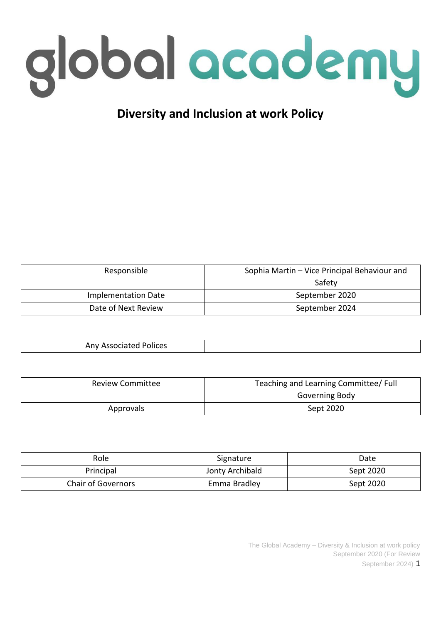

# **Diversity and Inclusion at work Policy**

| Responsible         | Sophia Martin – Vice Principal Behaviour and |  |
|---------------------|----------------------------------------------|--|
|                     | Safety                                       |  |
| Implementation Date | September 2020                               |  |
| Date of Next Review | September 2024                               |  |

| <b>Any Associated Polices</b> |  |
|-------------------------------|--|

| <b>Review Committee</b> | Teaching and Learning Committee/ Full |  |
|-------------------------|---------------------------------------|--|
|                         | Governing Body                        |  |
| Approvals               | Sept 2020                             |  |

| Role                      | Signature       | Date      |
|---------------------------|-----------------|-----------|
| Principal                 | Jonty Archibald | Sept 2020 |
| <b>Chair of Governors</b> | Emma Bradley    | Sept 2020 |

The Global Academy – Diversity & Inclusion at work policy September 2020 (For Review September 2024) 1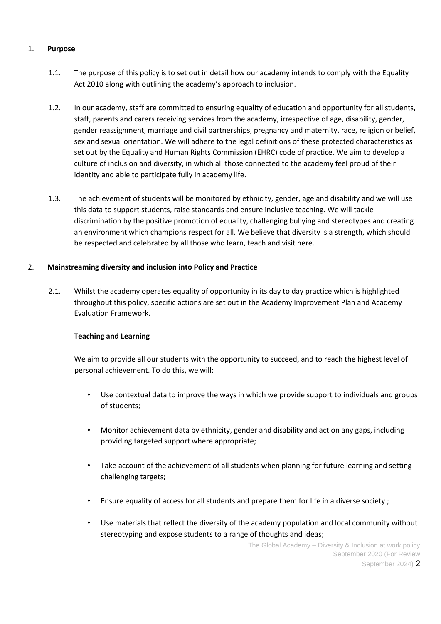# 1. **Purpose**

- 1.1. The purpose of this policy is to set out in detail how our academy intends to comply with the Equality Act 2010 along with outlining the academy's approach to inclusion.
- 1.2. In our academy, staff are committed to ensuring equality of education and opportunity for all students, staff, parents and carers receiving services from the academy, irrespective of age, disability, gender, gender reassignment, marriage and civil partnerships, pregnancy and maternity, race, religion or belief, sex and sexual orientation. We will adhere to the legal definitions of these protected characteristics as set out by the Equality and Human Rights Commission (EHRC) code of practice. We aim to develop a culture of inclusion and diversity, in which all those connected to the academy feel proud of their identity and able to participate fully in academy life.
- 1.3. The achievement of students will be monitored by ethnicity, gender, age and disability and we will use this data to support students, raise standards and ensure inclusive teaching. We will tackle discrimination by the positive promotion of equality, challenging bullying and stereotypes and creating an environment which champions respect for all. We believe that diversity is a strength, which should be respected and celebrated by all those who learn, teach and visit here.

## 2. **Mainstreaming diversity and inclusion into Policy and Practice**

2.1. Whilst the academy operates equality of opportunity in its day to day practice which is highlighted throughout this policy, specific actions are set out in the Academy Improvement Plan and Academy Evaluation Framework.

## **Teaching and Learning**

We aim to provide all our students with the opportunity to succeed, and to reach the highest level of personal achievement. To do this, we will:

- Use contextual data to improve the ways in which we provide support to individuals and groups of students;
- Monitor achievement data by ethnicity, gender and disability and action any gaps, including providing targeted support where appropriate;
- Take account of the achievement of all students when planning for future learning and setting challenging targets;
- Ensure equality of access for all students and prepare them for life in a diverse society ;
- Use materials that reflect the diversity of the academy population and local community without stereotyping and expose students to a range of thoughts and ideas;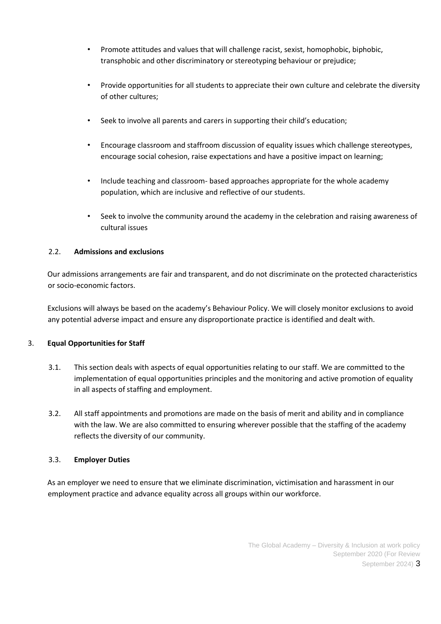- Promote attitudes and values that will challenge racist, sexist, homophobic, biphobic, transphobic and other discriminatory or stereotyping behaviour or prejudice;
- Provide opportunities for all students to appreciate their own culture and celebrate the diversity of other cultures;
- Seek to involve all parents and carers in supporting their child's education;
- Encourage classroom and staffroom discussion of equality issues which challenge stereotypes, encourage social cohesion, raise expectations and have a positive impact on learning;
- Include teaching and classroom- based approaches appropriate for the whole academy population, which are inclusive and reflective of our students.
- Seek to involve the community around the academy in the celebration and raising awareness of cultural issues

## 2.2. **Admissions and exclusions**

Our admissions arrangements are fair and transparent, and do not discriminate on the protected characteristics or socio-economic factors.

Exclusions will always be based on the academy's Behaviour Policy. We will closely monitor exclusions to avoid any potential adverse impact and ensure any disproportionate practice is identified and dealt with.

## 3. **Equal Opportunities for Staff**

- 3.1. This section deals with aspects of equal opportunities relating to our staff. We are committed to the implementation of equal opportunities principles and the monitoring and active promotion of equality in all aspects of staffing and employment.
- 3.2. All staff appointments and promotions are made on the basis of merit and ability and in compliance with the law. We are also committed to ensuring wherever possible that the staffing of the academy reflects the diversity of our community.

#### 3.3. **Employer Duties**

As an employer we need to ensure that we eliminate discrimination, victimisation and harassment in our employment practice and advance equality across all groups within our workforce.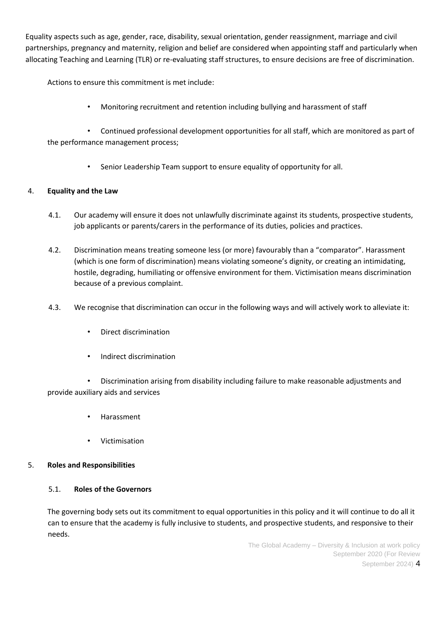Equality aspects such as age, gender, race, disability, sexual orientation, gender reassignment, marriage and civil partnerships, pregnancy and maternity, religion and belief are considered when appointing staff and particularly when allocating Teaching and Learning (TLR) or re-evaluating staff structures, to ensure decisions are free of discrimination.

Actions to ensure this commitment is met include:

• Monitoring recruitment and retention including bullying and harassment of staff

• Continued professional development opportunities for all staff, which are monitored as part of the performance management process;

• Senior Leadership Team support to ensure equality of opportunity for all.

## 4. **Equality and the Law**

- 4.1. Our academy will ensure it does not unlawfully discriminate against its students, prospective students, job applicants or parents/carers in the performance of its duties, policies and practices.
- 4.2. Discrimination means treating someone less (or more) favourably than a "comparator". Harassment (which is one form of discrimination) means violating someone's dignity, or creating an intimidating, hostile, degrading, humiliating or offensive environment for them. Victimisation means discrimination because of a previous complaint.
- 4.3. We recognise that discrimination can occur in the following ways and will actively work to alleviate it:
	- Direct discrimination
	- Indirect discrimination

• Discrimination arising from disability including failure to make reasonable adjustments and provide auxiliary aids and services

- Harassment
- Victimisation

## 5. **Roles and Responsibilities**

#### 5.1. **Roles of the Governors**

The governing body sets out its commitment to equal opportunities in this policy and it will continue to do all it can to ensure that the academy is fully inclusive to students, and prospective students, and responsive to their needs.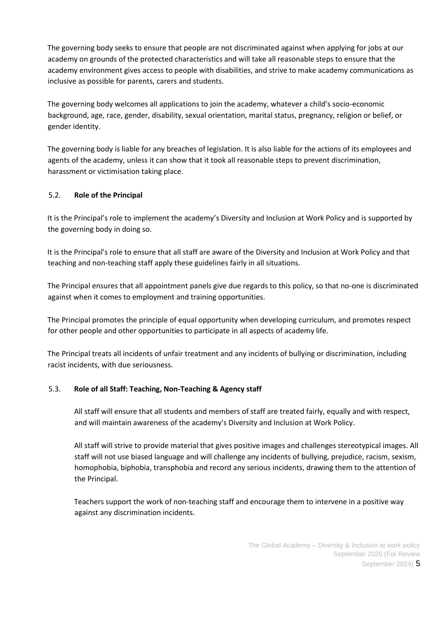The governing body seeks to ensure that people are not discriminated against when applying for jobs at our academy on grounds of the protected characteristics and will take all reasonable steps to ensure that the academy environment gives access to people with disabilities, and strive to make academy communications as inclusive as possible for parents, carers and students.

The governing body welcomes all applications to join the academy, whatever a child's socio-economic background, age, race, gender, disability, sexual orientation, marital status, pregnancy, religion or belief, or gender identity.

The governing body is liable for any breaches of legislation. It is also liable for the actions of its employees and agents of the academy, unless it can show that it took all reasonable steps to prevent discrimination, harassment or victimisation taking place.

# 5.2. **Role of the Principal**

It is the Principal's role to implement the academy's Diversity and Inclusion at Work Policy and is supported by the governing body in doing so.

It is the Principal's role to ensure that all staff are aware of the Diversity and Inclusion at Work Policy and that teaching and non-teaching staff apply these guidelines fairly in all situations.

The Principal ensures that all appointment panels give due regards to this policy, so that no-one is discriminated against when it comes to employment and training opportunities.

The Principal promotes the principle of equal opportunity when developing curriculum, and promotes respect for other people and other opportunities to participate in all aspects of academy life.

The Principal treats all incidents of unfair treatment and any incidents of bullying or discrimination, including racist incidents, with due seriousness.

## 5.3. **Role of all Staff: Teaching, Non-Teaching & Agency staff**

All staff will ensure that all students and members of staff are treated fairly, equally and with respect, and will maintain awareness of the academy's Diversity and Inclusion at Work Policy.

All staff will strive to provide material that gives positive images and challenges stereotypical images. All staff will not use biased language and will challenge any incidents of bullying, prejudice, racism, sexism, homophobia, biphobia, transphobia and record any serious incidents, drawing them to the attention of the Principal.

Teachers support the work of non-teaching staff and encourage them to intervene in a positive way against any discrimination incidents.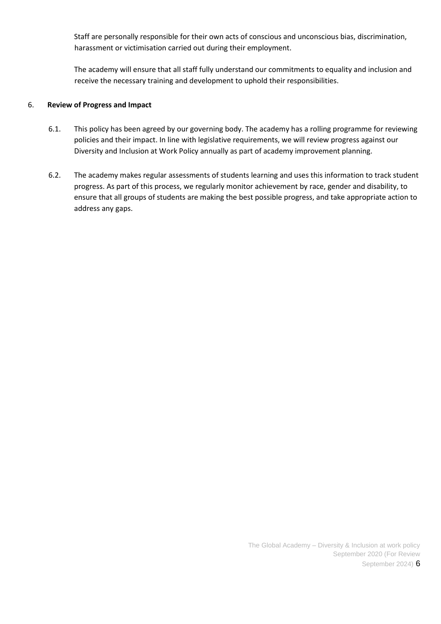Staff are personally responsible for their own acts of conscious and unconscious bias, discrimination, harassment or victimisation carried out during their employment.

The academy will ensure that all staff fully understand our commitments to equality and inclusion and receive the necessary training and development to uphold their responsibilities.

## 6. **Review of Progress and Impact**

- 6.1. This policy has been agreed by our governing body. The academy has a rolling programme for reviewing policies and their impact. In line with legislative requirements, we will review progress against our Diversity and Inclusion at Work Policy annually as part of academy improvement planning.
- 6.2. The academy makes regular assessments of students learning and uses this information to track student progress. As part of this process, we regularly monitor achievement by race, gender and disability, to ensure that all groups of students are making the best possible progress, and take appropriate action to address any gaps.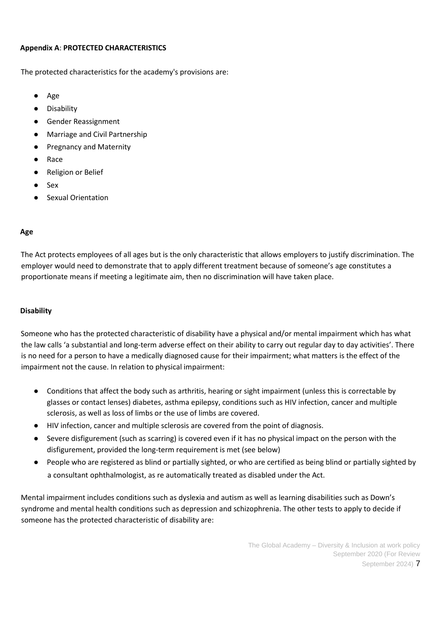## **Appendix A**: **PROTECTED CHARACTERISTICS**

The protected characteristics for the academy's provisions are:

- Age
- Disability
- Gender Reassignment
- Marriage and Civil Partnership
- Pregnancy and Maternity
- Race
- Religion or Belief
- **Sex**
- **Sexual Orientation**

## **Age**

The Act protects employees of all ages but is the only characteristic that allows employers to justify discrimination. The employer would need to demonstrate that to apply different treatment because of someone's age constitutes a proportionate means if meeting a legitimate aim, then no discrimination will have taken place.

## **Disability**

Someone who has the protected characteristic of disability have a physical and/or mental impairment which has what the law calls 'a substantial and long-term adverse effect on their ability to carry out regular day to day activities'. There is no need for a person to have a medically diagnosed cause for their impairment; what matters is the effect of the impairment not the cause. In relation to physical impairment:

- Conditions that affect the body such as arthritis, hearing or sight impairment (unless this is correctable by glasses or contact lenses) diabetes, asthma epilepsy, conditions such as HIV infection, cancer and multiple sclerosis, as well as loss of limbs or the use of limbs are covered.
- HIV infection, cancer and multiple sclerosis are covered from the point of diagnosis.
- Severe disfigurement (such as scarring) is covered even if it has no physical impact on the person with the disfigurement, provided the long-term requirement is met (see below)
- People who are registered as blind or partially sighted, or who are certified as being blind or partially sighted by a consultant ophthalmologist, as re automatically treated as disabled under the Act.

Mental impairment includes conditions such as dyslexia and autism as well as learning disabilities such as Down's syndrome and mental health conditions such as depression and schizophrenia. The other tests to apply to decide if someone has the protected characteristic of disability are: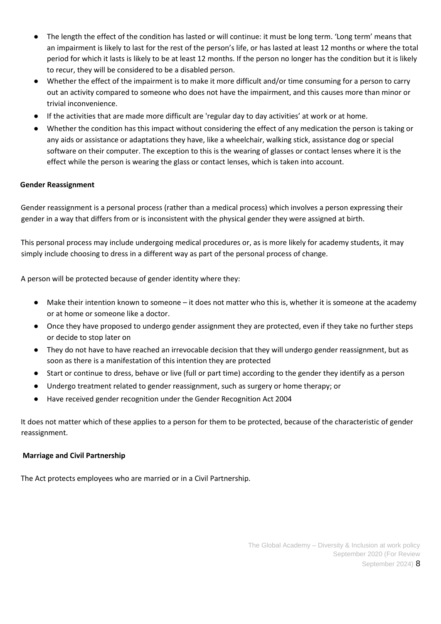- The length the effect of the condition has lasted or will continue: it must be long term. 'Long term' means that an impairment is likely to last for the rest of the person's life, or has lasted at least 12 months or where the total period for which it lasts is likely to be at least 12 months. If the person no longer has the condition but it is likely to recur, they will be considered to be a disabled person.
- Whether the effect of the impairment is to make it more difficult and/or time consuming for a person to carry out an activity compared to someone who does not have the impairment, and this causes more than minor or trivial inconvenience.
- If the activities that are made more difficult are 'regular day to day activities' at work or at home.
- Whether the condition has this impact without considering the effect of any medication the person is taking or any aids or assistance or adaptations they have, like a wheelchair, walking stick, assistance dog or special software on their computer. The exception to this is the wearing of glasses or contact lenses where it is the effect while the person is wearing the glass or contact lenses, which is taken into account.

## **Gender Reassignment**

Gender reassignment is a personal process (rather than a medical process) which involves a person expressing their gender in a way that differs from or is inconsistent with the physical gender they were assigned at birth.

This personal process may include undergoing medical procedures or, as is more likely for academy students, it may simply include choosing to dress in a different way as part of the personal process of change.

A person will be protected because of gender identity where they:

- Make their intention known to someone it does not matter who this is, whether it is someone at the academy or at home or someone like a doctor.
- Once they have proposed to undergo gender assignment they are protected, even if they take no further steps or decide to stop later on
- They do not have to have reached an irrevocable decision that they will undergo gender reassignment, but as soon as there is a manifestation of this intention they are protected
- Start or continue to dress, behave or live (full or part time) according to the gender they identify as a person
- Undergo treatment related to gender reassignment, such as surgery or home therapy; or
- Have received gender recognition under the Gender Recognition Act 2004

It does not matter which of these applies to a person for them to be protected, because of the characteristic of gender reassignment.

#### **Marriage and Civil Partnership**

The Act protects employees who are married or in a Civil Partnership.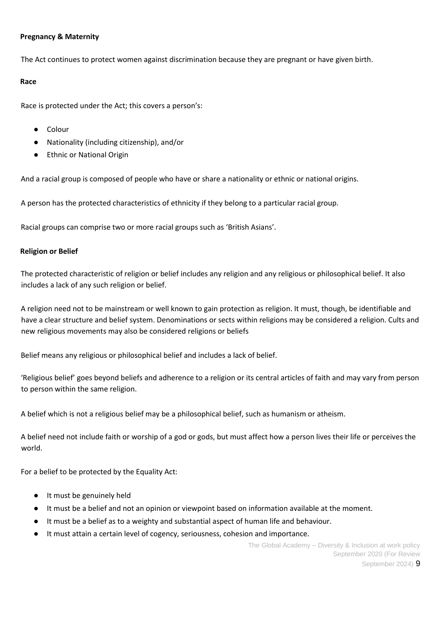## **Pregnancy & Maternity**

The Act continues to protect women against discrimination because they are pregnant or have given birth.

#### **Race**

Race is protected under the Act; this covers a person's:

- Colour
- Nationality (including citizenship), and/or
- Ethnic or National Origin

And a racial group is composed of people who have or share a nationality or ethnic or national origins.

A person has the protected characteristics of ethnicity if they belong to a particular racial group.

Racial groups can comprise two or more racial groups such as 'British Asians'.

## **Religion or Belief**

The protected characteristic of religion or belief includes any religion and any religious or philosophical belief. It also includes a lack of any such religion or belief.

A religion need not to be mainstream or well known to gain protection as religion. It must, though, be identifiable and have a clear structure and belief system. Denominations or sects within religions may be considered a religion. Cults and new religious movements may also be considered religions or beliefs

Belief means any religious or philosophical belief and includes a lack of belief.

'Religious belief' goes beyond beliefs and adherence to a religion or its central articles of faith and may vary from person to person within the same religion.

A belief which is not a religious belief may be a philosophical belief, such as humanism or atheism.

A belief need not include faith or worship of a god or gods, but must affect how a person lives their life or perceives the world.

For a belief to be protected by the Equality Act:

- It must be genuinely held
- It must be a belief and not an opinion or viewpoint based on information available at the moment.
- It must be a belief as to a weighty and substantial aspect of human life and behaviour.
- It must attain a certain level of cogency, seriousness, cohesion and importance.